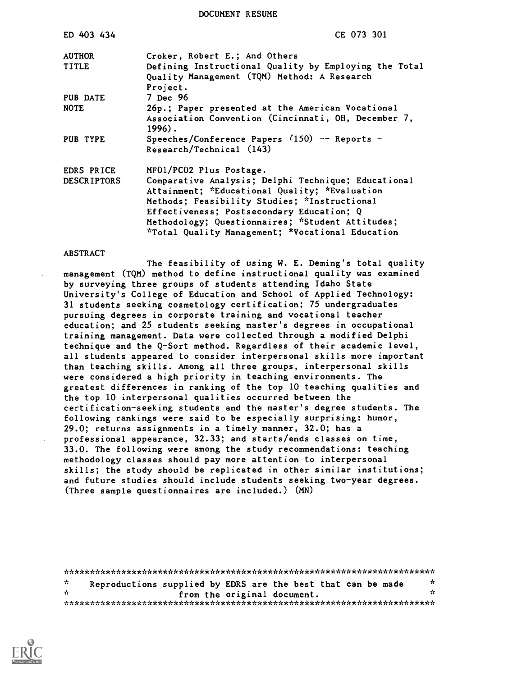DOCUMENT RESUME

| ED 403 434         | CE 073 301                                                                                                                                                                                                                                                                                                |
|--------------------|-----------------------------------------------------------------------------------------------------------------------------------------------------------------------------------------------------------------------------------------------------------------------------------------------------------|
| <b>AUTHOR</b>      | Croker, Robert E.; And Others                                                                                                                                                                                                                                                                             |
| <b>TITLE</b>       | Defining Instructional Quality by Employing the Total<br>Quality Management (TQM) Method: A Research<br>Project.                                                                                                                                                                                          |
| PUB DATE           | 7 Dec 96                                                                                                                                                                                                                                                                                                  |
| <b>NOTE</b>        | 26p.; Paper presented at the American Vocational<br>Association Convention (Cincinnati, OH, December 7,<br>$1996$ .                                                                                                                                                                                       |
| PUB TYPE           | Speeches/Conference Papers $(150)$ -- Reports -<br>Research/Technical (143)                                                                                                                                                                                                                               |
| EDRS PRICE         | MF01/PC02 Plus Postage.                                                                                                                                                                                                                                                                                   |
| <b>DESCRIPTORS</b> | Comparative Analysis; Delphi Technique; Educational<br>Attainment; *Educational Quality; *Evaluation<br>Methods; Feasibility Studies; *Instructional<br>Effectiveness; Postsecondary Education; Q<br>Methodology; Questionnaires; *Student Attitudes;<br>*Total Quality Management; *Vocational Education |

### ABSTRACT

The feasibility of using W. E. Deming's total quality management (TQM) method to define instructional quality was examined by surveying three groups of students attending Idaho State University's College of Education and School of Applied Technology: 31 students seeking cosmetology certification; 75 undergraduates pursuing degrees in corporate training and vocational teacher education; and 25 students seeking master's degrees in occupational training management. Data were collected through a modified Delphi technique and the Q-Sort method. Regardless of their academic level, all students appeared to consider interpersonal skills more important than teaching skills. Among all three groups, interpersonal skills were considered a high priority in teaching environments. The greatest differences in ranking of the top 10 teaching qualities and the top 10 interpersonal qualities occurred between the certification-seeking students and the master's degree students. The following rankings were said to be especially surprising: humor, 29.0; returns assignments in a timely manner, 32.0; has a professional appearance, 32.33; and starts/ends classes on time, 33.0. The following were among the study recommendations: teaching methodology classes should pay more attention to interpersonal skills; the study should be replicated in other similar institutions; and future studies should include students seeking two-year degrees. (Three sample questionnaires are included.) (MN)

\*\*\*\*\*\*\*\*\*\*\*\*\*\*\*\*\*\*\*\*\*\*\*\*\*\*\*\*\*\*\*\*\*\*\*\*\*\*\*\*\*\*\*\*\*\*\*\*\*\*\*\*\*\*\*\*\*\*\*\*\*\*\*\*\*\*\*\*\*\*\*  $\mathbf{r}$ Reproductions supplied by EDRS are the best that can be made  $\frac{x}{y}$ from the original document. \*\*\*\*\*\*\*\*\*\*\*\*\*\*\*\*\*\*\*\*\*\*\*\*\*\*\*\*\*\*\*\*\*\*\*\*\*\*\*\*\*\*\*\*\*\*\*\*\*\*\*\*\*\*\*\*\*\*\*\*\*\*\*\*\*\*\*\*\*\*\*

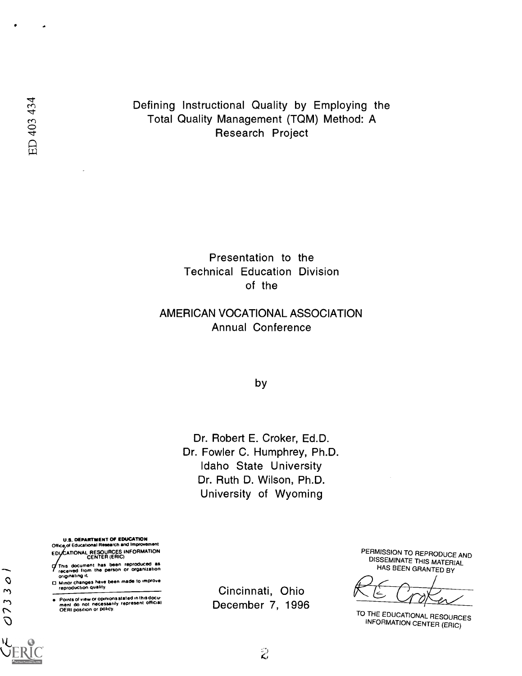Defining Instructional Quality by Employing the Total Quality Management (TQM) Method: A<br>Research Project

> Presentation to the Technical Education Division of the

### AMERICAN VOCATIONAL ASSOCIATION Annual Conference

by

Dr. Robert E. Croker, Ed.D. Dr. Fowler C. Humphrey, Ph.D. Idaho State University Dr. Ruth D. Wilson, Ph.D. University of Wyoming

U.S. DEPARTMENT OF EDUCATION<br>Office,of Educational Research and Improvem Office,of Educational Research and Improvement ED CENTER (ERIC)

- This document has been reproduced as received from the person or organization originating it
- □ Minor changes have been made to improve<br>reproduction quality.
- Points of view or opinions stated in this docu-<br>ment: do .not. necessarily: represent: official<br>OERI position or policy.

Cincinnati, Ohio December 7, 1996 PERMISSION TO REPRODUCE AND DISSEMINATE THIS MATERIAL HAS BEEN GRANTED BY

TO THE EDUCATIONAL RESOURCES INFORMATION CENTER (ERIC)

 $\mathcal{O}$ 

0733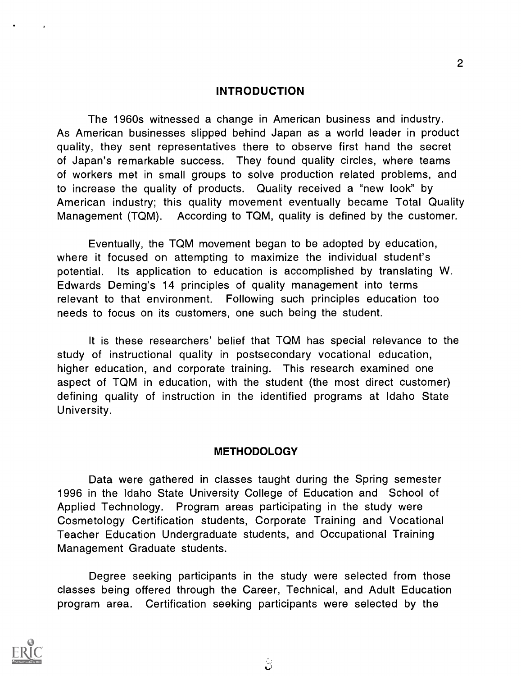### INTRODUCTION

The 1960s witnessed a change in American business and industry. As American businesses slipped behind Japan as a world leader in product quality, they sent representatives there to observe first hand the secret of Japan's remarkable success. They found quality circles, where teams of workers met in small groups to solve production related problems, and to increase the quality of products. Quality received a "new look" by American industry; this quality movement eventually became Total Quality Management (TQM). According to TQM, quality is defined by the customer.

Eventually, the TQM movement began to be adopted by education, where it focused on attempting to maximize the individual student's potential. Its application to education is accomplished by translating W. Edwards Deming's 14 principles of quality management into terms relevant to that environment. Following such principles education too needs to focus on its customers, one such being the student.

It is these researchers' belief that TQM has special relevance to the study of instructional quality in postsecondary vocational education, higher education, and corporate training. This research examined one aspect of TQM in education, with the student (the most direct customer) defining quality of instruction in the identified programs at Idaho State University.

### **METHODOLOGY**

Data were gathered in classes taught during the Spring semester 1996 in the Idaho State University College of Education and School of Applied Technology. Program areas participating in the study were Cosmetology Certification students, Corporate Training and Vocational Teacher Education Undergraduate students, and Occupational Training Management Graduate students.

Degree seeking participants in the study were selected from those classes being offered through the Career, Technical, and Adult Education program area. Certification seeking participants were selected by the



2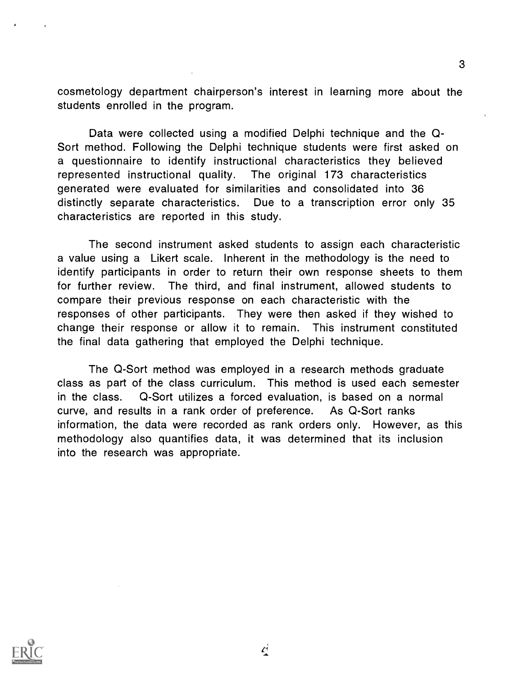cosmetology department chairperson's interest in learning more about the students enrolled in the program.

Data were collected using a modified Delphi technique and the Q-Sort method. Following the Delphi technique students were first asked on a questionnaire to identify instructional characteristics they believed represented instructional quality. The original 173 characteristics generated were evaluated for similarities and consolidated into 36 distinctly separate characteristics. Due to a transcription error only 35 characteristics are reported in this study.

The second instrument asked students to assign each characteristic a value using a Likert scale. Inherent in the methodology is the need to identify participants in order to return their own response sheets to them for further review. The third, and final instrument, allowed students to compare their previous response on each characteristic with the responses of other participants. They were then asked if they wished to change their response or allow it to remain. This instrument constituted the final data gathering that employed the Delphi technique.

The Q-Sort method was employed in a research methods graduate class as part of the class curriculum. This method is used each semester in the class. Q-Sort utilizes a forced evaluation, is based on a normal curve, and results in a rank order of preference. As Q-Sort ranks information, the data were recorded as rank orders only. However, as this methodology also quantifies data, it was determined that its inclusion into the research was appropriate.



Ą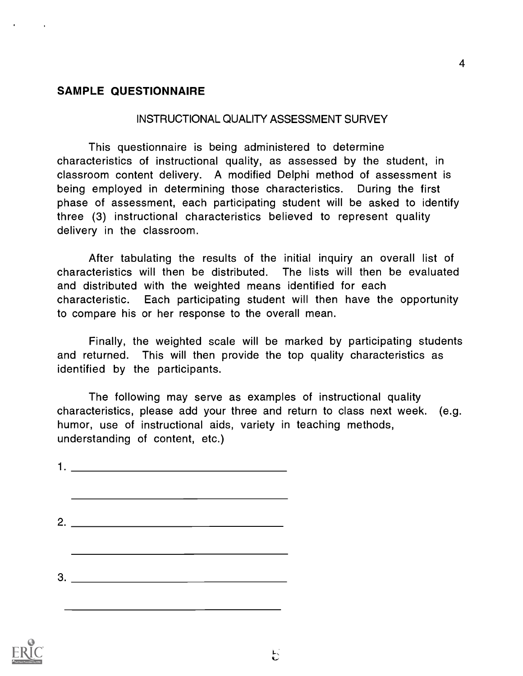### SAMPLE QUESTIONNAIRE

### INSTRUCTIONAL QUALITY ASSESSMENT SURVEY

4

This questionnaire is being administered to determine characteristics of instructional quality, as assessed by the student, in classroom content delivery. A modified Delphi method of assessment is being employed in determining those characteristics. During the first phase of assessment, each participating student will be asked to identify three (3) instructional characteristics believed to represent quality delivery in the classroom.

After tabulating the results of the initial inquiry an overall list of characteristics will then be distributed. The lists will then be evaluated and distributed with the weighted means identified for each characteristic. Each participating student will then have the opportunity to compare his or her response to the overall mean.

Finally, the weighted scale will be marked by participating students and returned. This will then provide the top quality characteristics as identified by the participants.

The following may serve as examples of instructional quality characteristics, please add your three and return to class next week. (e.g. humor, use of instructional aids, variety in teaching methods, understanding of content, etc.)

 $\mathbf{1}$ . 2. 3.

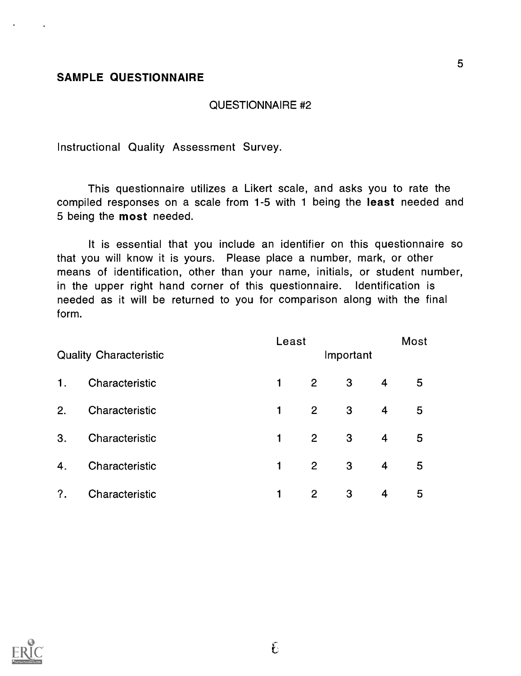### SAMPLE QUESTIONNAIRE

### QUESTIONNAIRE #2

Instructional Quality Assessment Survey.

This questionnaire utilizes a Likert scale, and asks you to rate the compiled responses on a scale from 1-5 with 1 being the least needed and 5 being the most needed.

It is essential that you include an identifier on this questionnaire so that you will know it is yours. Please place a number, mark, or other means of identification, other than your name, initials, or student number, in the upper right hand corner of this questionnaire. Identification is needed as it will be returned to you for comparison along with the final form.

|    | <b>Quality Characteristic</b> | Least |                | Important |                | Most |
|----|-------------------------------|-------|----------------|-----------|----------------|------|
| 1. | Characteristic                | 1     | $2^{\circ}$    | 3         | $\overline{4}$ | 5    |
| 2. | Characteristic                | 1     | $\overline{2}$ | 3         | 4              | 5    |
| 3. | Characteristic                | 1     | $\overline{2}$ | 3         | $\overline{4}$ | 5    |
| 4. | Characteristic                | 1     | $\overline{2}$ | 3         | $\overline{4}$ | 5    |
| ?. | Characteristic                | 1     | 2              | 3         | $\overline{4}$ | 5    |

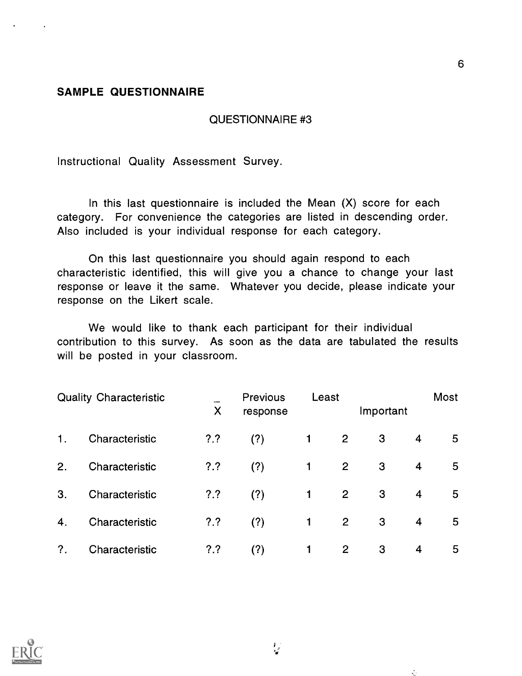### SAMPLE QUESTIONNAIRE

### QUESTIONNAIRE #3

Instructional Quality Assessment Survey.

In this last questionnaire is included the Mean (X) score for each category. For convenience the categories are listed in descending order. Also included is your individual response for each category.

On this last questionnaire you should again respond to each characteristic identified, this will give you a chance to change your last response or leave it the same. Whatever you decide, please indicate your response on the Likert scale.

We would like to thank each participant for their individual contribution to this survey. As soon as the data are tabulated the results will be posted in your classroom.

|                  | <b>Quality Characteristic</b> | X      | <b>Previous</b><br>response | Least |                | Important |                | Most |  |
|------------------|-------------------------------|--------|-----------------------------|-------|----------------|-----------|----------------|------|--|
| 1.               | Characteristic                | $?.^?$ | (?)                         |       | 2              | 3         | 4              | 5    |  |
| 2.               | Characteristic                | $?.^?$ | (?)                         |       | 2              | 3         | 4              | 5    |  |
| 3.               | Characteristic                | ??     | (?)                         | 1     | 2              | 3         | $\overline{4}$ | 5    |  |
| 4.               | Characteristic                | $?.^?$ | (?)                         | 1     | $\overline{2}$ | 3         | 4              | 5    |  |
| $\overline{?}$ . | Characteristic                | ??     | (?)                         | 1     | 2              | 3         | 4              | 5    |  |

 $\frac{1}{2}$ 

 $\mathbb{C}$ 

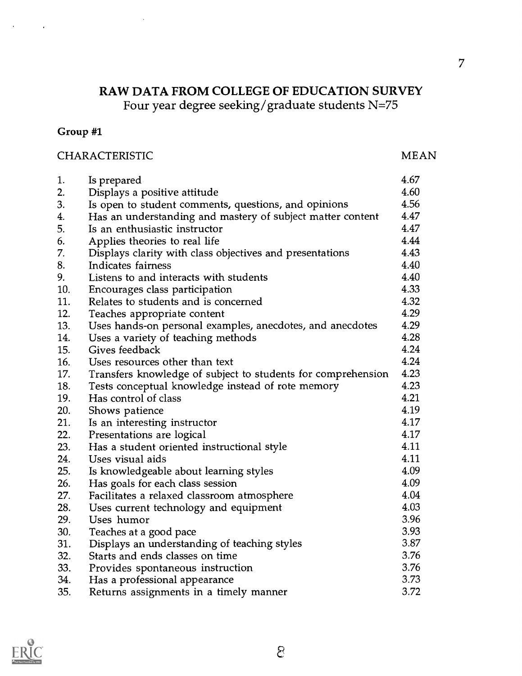### RAW DATA FROM COLLEGE OF EDUCATION SURVEY Four year degree seeking/graduate students N=75

### Group #1

### CHARACTERISTIC MEAN

| 1.  | Is prepared                                                  | 4.67 |
|-----|--------------------------------------------------------------|------|
| 2.  | Displays a positive attitude                                 | 4.60 |
| 3.  | Is open to student comments, questions, and opinions         | 4.56 |
| 4.  | Has an understanding and mastery of subject matter content   | 4.47 |
| 5.  | Is an enthusiastic instructor                                | 4.47 |
| 6.  | Applies theories to real life                                | 4.44 |
| 7.  | Displays clarity with class objectives and presentations     | 4.43 |
| 8.  | Indicates fairness                                           | 4.40 |
| 9.  | Listens to and interacts with students                       | 4.40 |
| 10. | Encourages class participation                               | 4.33 |
| 11. | Relates to students and is concerned                         | 4.32 |
| 12. | Teaches appropriate content                                  | 4.29 |
| 13. | Uses hands-on personal examples, anecdotes, and anecdotes    | 4.29 |
| 14. | Uses a variety of teaching methods                           | 4.28 |
| 15. | Gives feedback                                               | 4.24 |
| 16. | Uses resources other than text                               | 4.24 |
| 17. | Transfers knowledge of subject to students for comprehension | 4.23 |
| 18. | Tests conceptual knowledge instead of rote memory            | 4.23 |
| 19. | Has control of class                                         | 4.21 |
| 20. | Shows patience                                               | 4.19 |
| 21. | Is an interesting instructor                                 | 4.17 |
| 22. | Presentations are logical                                    | 4.17 |
| 23. | Has a student oriented instructional style                   | 4.11 |
| 24. | Uses visual aids                                             | 4.11 |
| 25. | Is knowledgeable about learning styles                       | 4.09 |
| 26. | Has goals for each class session                             | 4.09 |
| 27. | Facilitates a relaxed classroom atmosphere                   | 4.04 |
| 28. | Uses current technology and equipment                        | 4.03 |
| 29. | Uses humor                                                   | 3.96 |
| 30. | Teaches at a good pace                                       | 3.93 |
| 31. | Displays an understanding of teaching styles                 | 3.87 |
| 32. | Starts and ends classes on time                              | 3.76 |
| 33. | Provides spontaneous instruction                             | 3.76 |
| 34. | Has a professional appearance                                | 3.73 |
| 35. | Returns assignments in a timely manner                       | 3.72 |

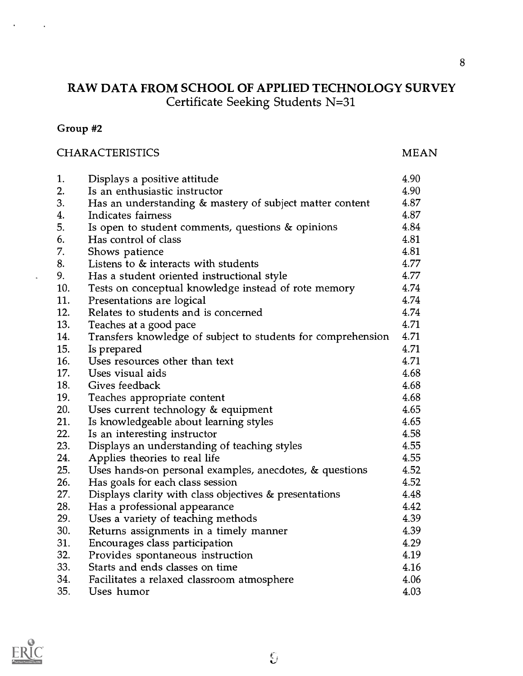## RAW DATA FROM SCHOOL OF APPLIED TECHNOLOGY SURVEY Certificate Seeking Students N=31

### Group #2

### CHARACTERISTICS MEAN

| 1.  | Displays a positive attitude                                 | 4.90 |
|-----|--------------------------------------------------------------|------|
| 2.  | Is an enthusiastic instructor                                | 4.90 |
| 3.  | Has an understanding & mastery of subject matter content     | 4.87 |
| 4.  | Indicates fairness                                           | 4.87 |
| 5.  | Is open to student comments, questions & opinions            | 4.84 |
| 6.  | Has control of class                                         | 4.81 |
| 7.  | Shows patience                                               | 4.81 |
| 8.  | Listens to & interacts with students                         | 4.77 |
| 9.  | Has a student oriented instructional style                   | 4.77 |
| 10. | Tests on conceptual knowledge instead of rote memory         | 4.74 |
| 11. | Presentations are logical                                    | 4.74 |
| 12. | Relates to students and is concerned                         | 4.74 |
| 13. | Teaches at a good pace                                       | 4.71 |
| 14. | Transfers knowledge of subject to students for comprehension | 4.71 |
| 15. | Is prepared                                                  | 4.71 |
| 16. | Uses resources other than text                               | 4.71 |
| 17. | Uses visual aids                                             | 4.68 |
| 18. | Gives feedback                                               | 4.68 |
| 19. | Teaches appropriate content                                  | 4.68 |
| 20. | Uses current technology & equipment                          | 4.65 |
| 21. | Is knowledgeable about learning styles                       | 4.65 |
| 22. | Is an interesting instructor                                 | 4.58 |
| 23. | Displays an understanding of teaching styles                 | 4.55 |
| 24. | Applies theories to real life                                | 4.55 |
| 25. | Uses hands-on personal examples, anecdotes, $\&$ questions   | 4.52 |
| 26. | Has goals for each class session                             | 4.52 |
| 27. | Displays clarity with class objectives & presentations       | 4.48 |
| 28. | Has a professional appearance                                | 4.42 |
| 29. | Uses a variety of teaching methods                           | 4.39 |
| 30. | Returns assignments in a timely manner                       | 4.39 |
| 31. | Encourages class participation                               | 4.29 |
| 32. | Provides spontaneous instruction                             | 4.19 |
| 33. | Starts and ends classes on time                              | 4.16 |
| 34. | Facilitates a relaxed classroom atmosphere                   | 4.06 |
| 35. | Uses humor                                                   | 4.03 |

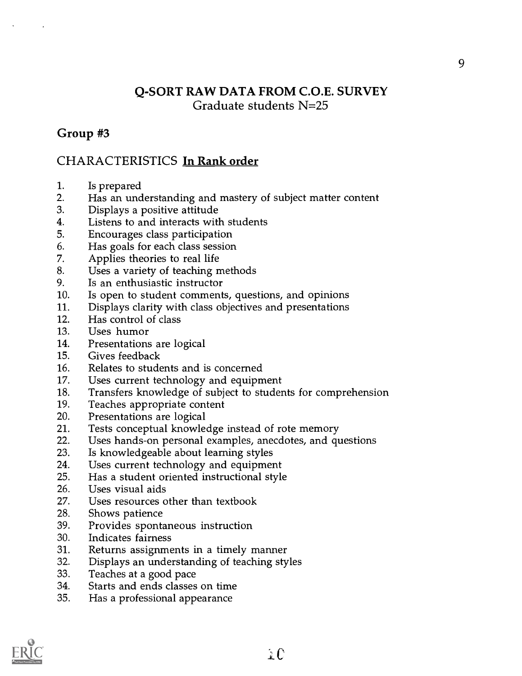### Q-SORT RAW DATA FROM C.O.E. SURVEY Graduate students N=25

### Group #3

### CHARACTERISTICS In Rank order

- 1. Is prepared<br>2. Has an und
- Has an understanding and mastery of subject matter content
- 3. Displays a positive attitude
- 4. Listens to and interacts with students
- 5. Encourages class participation
- 6. Has goals for each class session
- 7. Applies theories to real life
- 8. Uses a variety of teaching methods
- 9. Is an enthusiastic instructor
- 10. Is open to student comments, questions, and opinions
- 11. Displays clarity with class objectives and presentations
- 12. Has control of class
- 13. Uses humor
- 14. Presentations are logical
- 15. Gives feedback
- 16. Relates to students and is concerned
- 17. Uses current technology and equipment
- 18. Transfers knowledge of subject to students for comprehension<br>19. Teaches appropriate content
- Teaches appropriate content
- 20. Presentations are logical<br>21. Tests conceptual knowle
- Tests conceptual knowledge instead of rote memory
- 22. Uses hands-on personal examples, anecdotes, and questions
- 23. Is knowledgeable about learning styles
- 24. Uses current technology and equipment
- 25. Has a student oriented instructional style<br>26. Uses visual aids
- Uses visual aids
- 27. Uses resources other than textbook
- 28. Shows patience
- 39. Provides spontaneous instruction
- 30. Indicates fairness
- 31. Returns assignments in a timely manner
- 32. Displays an understanding of teaching styles
- 33. Teaches at a good pace
- 34. Starts and ends classes on time
- 35. Has a professional appearance

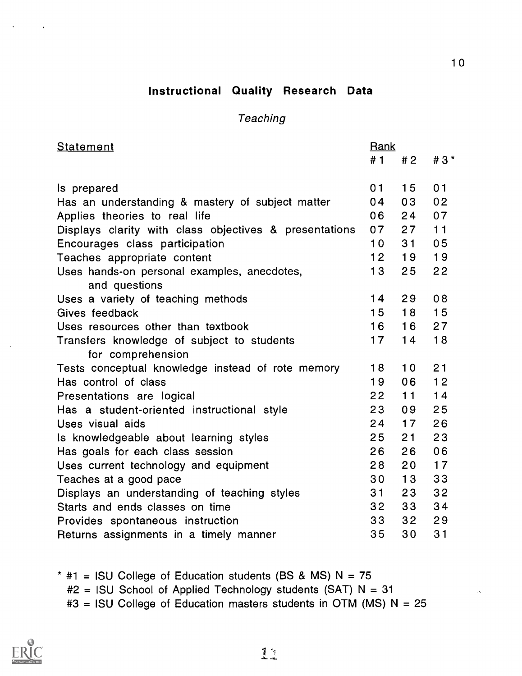### Instructional Quality Research Data

### **Teaching**

| <b>Statement</b>                                       | Rank            |                 |                |
|--------------------------------------------------------|-----------------|-----------------|----------------|
|                                                        | # 1             | #2              | $#3*$          |
|                                                        |                 |                 |                |
| Is prepared                                            | 01              | 15              | 01             |
| Has an understanding & mastery of subject matter       | 04              | 03              | 0 <sub>2</sub> |
| Applies theories to real life                          | 06              | 24              | 07             |
| Displays clarity with class objectives & presentations | 07              | 27              | 11             |
| Encourages class participation                         | 10 <sup>°</sup> | 31              | 0 <sub>5</sub> |
| Teaches appropriate content                            | 12              | 19              | 19             |
| Uses hands-on personal examples, anecdotes,            | 13              | 25              | 22             |
| and questions                                          |                 |                 |                |
| Uses a variety of teaching methods                     | 14              | 29              | 08             |
| Gives feedback                                         | 15              | 18              | 15             |
| Uses resources other than textbook                     | 16              | 16              | 27             |
| Transfers knowledge of subject to students             | 17              | 14              | 18             |
| for comprehension                                      |                 |                 |                |
| Tests conceptual knowledge instead of rote memory      | 18              | 10              | 21             |
| Has control of class                                   | 19              | 06              | 12             |
| Presentations are logical                              | 22              | 11              | 14             |
| Has a student-oriented instructional style             | 23              | 09              | 25             |
| Uses visual aids                                       | 24              | 17              | 26             |
| Is knowledgeable about learning styles                 | 25              | 21              | 23             |
| Has goals for each class session                       | 26              | 26              | 06             |
| Uses current technology and equipment                  | 28              | 20              | 17             |
| Teaches at a good pace                                 | 30              | 13              | 33             |
| Displays an understanding of teaching styles           | 31              | 23              | 32             |
| Starts and ends classes on time                        | 32 <sub>2</sub> | 33 <sup>°</sup> | 34             |
| Provides spontaneous instruction                       | 33              | 32 <sub>2</sub> | 29             |
| Returns assignments in a timely manner                 | 35              | 30              | 31             |

 $*$  #1 = ISU College of Education students (BS & MS) N = 75  $#2 =$  ISU School of Applied Technology students (SAT) N = 31  $#3 =$  ISU College of Education masters students in OTM (MS) N = 25



10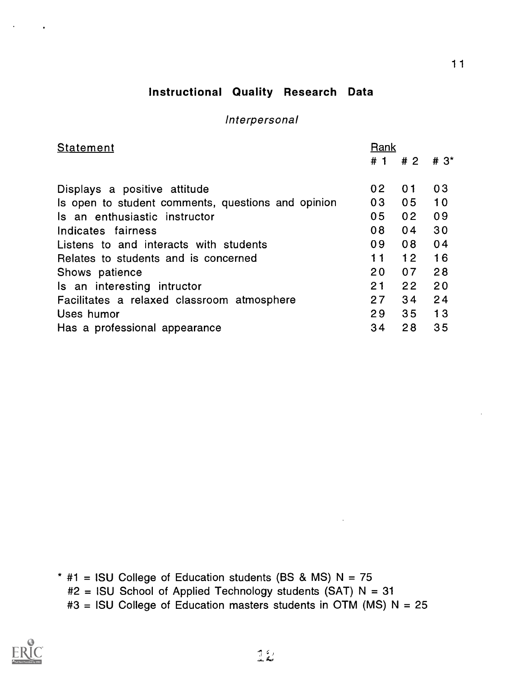### Instructional Quality Research Data

### Interpersonal

| <b>Statement</b>                                   | Rank              |                |                   |
|----------------------------------------------------|-------------------|----------------|-------------------|
|                                                    |                   | #1 #2          | $#3$ <sup>*</sup> |
|                                                    |                   |                |                   |
| Displays a positive attitude                       | 02                | 01             | 03                |
| Is open to student comments, questions and opinion | 03                | 0 <sub>5</sub> | 10                |
| Is an enthusiastic instructor                      | 05                | 0 <sub>2</sub> | 09                |
| Indicates fairness                                 | 08                | 04             | 30                |
| Listens to and interacts with students             | 09                | 08             | 04                |
| Relates to students and is concerned               | 11                | 12             | 16                |
| Shows patience                                     | $20 \overline{a}$ | 07             | 28                |
| Is an interesting intructor                        | 21                | 22             | 20                |
| Facilitates a relaxed classroom atmosphere         | 27                | 34             | 24                |
| Uses humor                                         | 29                | 35             | 13                |
| Has a professional appearance                      | 34                | 28             | 35                |

- \*  $#1 =$  ISU College of Education students (BS & MS) N = 75
	- #2 = ISU School of Applied Technology students (SAT) N = 31
	- $#3 =$  ISU College of Education masters students in OTM (MS) N = 25

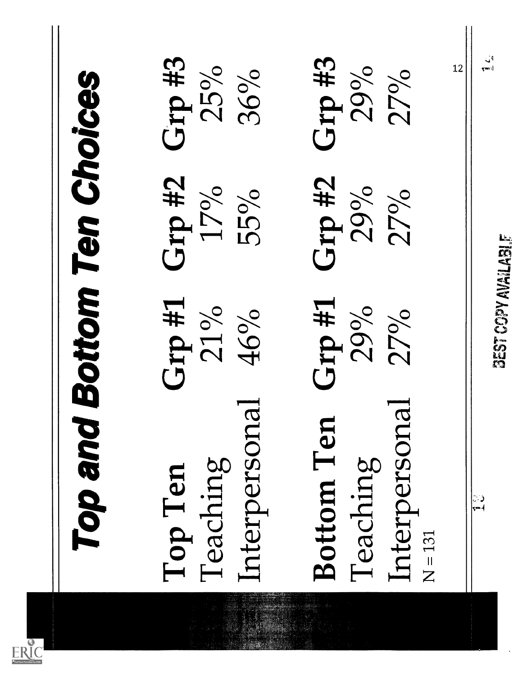| Top and                                             | <b>Bottom Ten Choices</b>  |                      |                        |
|-----------------------------------------------------|----------------------------|----------------------|------------------------|
| Interpersona<br>Teaching<br>Top Ten                 | L# qrJ<br>21%<br>46%       | Grp #2<br>17%<br>55% | Grp #3<br>25%<br>36%   |
| Interpersona<br>Bottom Ten<br>Teaching<br>$N = 131$ | $G$ rp #1<br>29%<br>27%    | Grp #2<br>29%<br>27% | Grp #3<br>29%<br>27%   |
| $\frac{1}{2}$                                       | <b>BEST COPY AVAILABLE</b> |                      | ة أما<br>التفتيح<br>12 |
|                                                     |                            |                      |                        |

J. en en de la familie de la familie de la familie de la familie de la familie de la familie de la familie de la<br>Espainia

 $ERIC$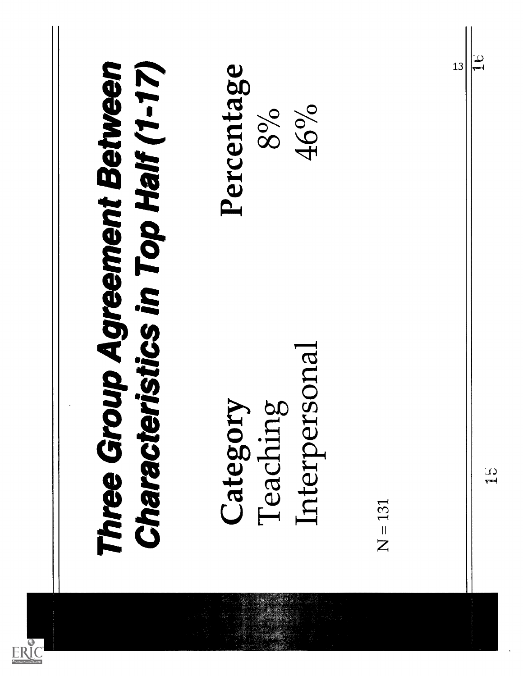| ristics in Top Half (1-17)                | Percentage<br>46%<br>8%                         | 13        | $\frac{1}{2}$    |
|-------------------------------------------|-------------------------------------------------|-----------|------------------|
| Three Group Agreement Between<br>Characte | sonal<br>50<br>Category<br>Interper<br>Teaching | $N = 131$ | $\Delta$<br>7222 |
|                                           |                                                 |           |                  |

ta San Tinggal (1989).<br>Kabupatèn Tinggal Kabupatèn Tinggal Kabupatèn Tinggal Kabupatèn Pangkaluman Pangkaluman Pangkaluman Pangkalum

ERIC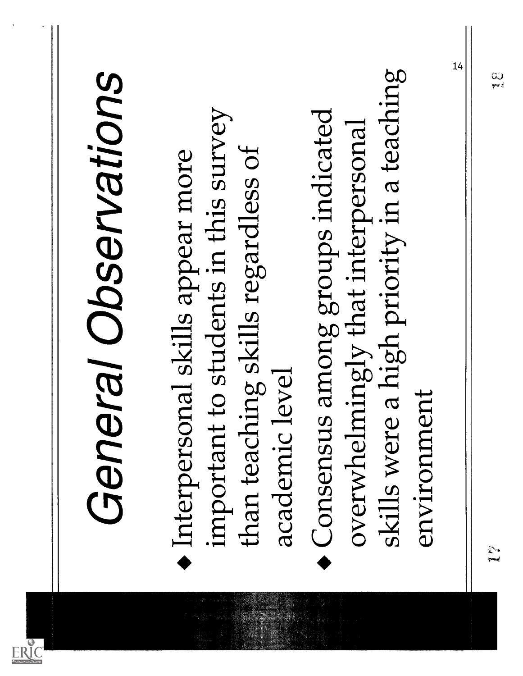|--|

**ALL STATE** 

 $\ddot{\phantom{0}}$ 

 $\overbrace{\text{ERIC}}^\bullet$ 

 $\epsilon$  $\begin{array}{c} \hline \end{array}$ 

 $\mathbf l$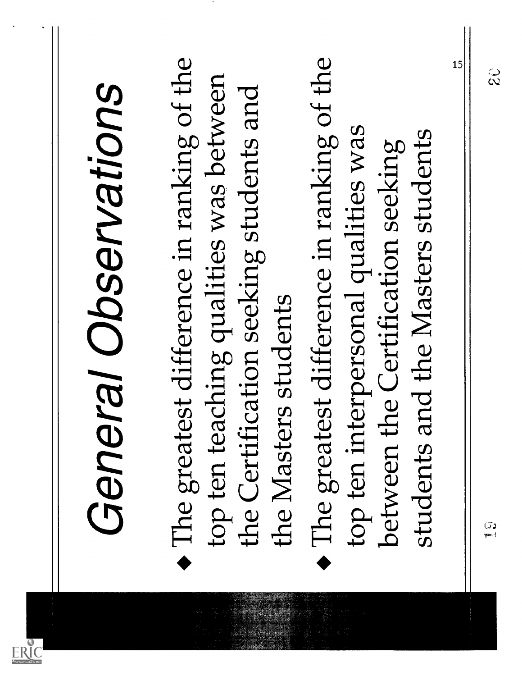| The greatest difference in ranking of the<br>The greatest difference in ranking of the<br>top ten teaching qualities was between<br>the Certification seeking students and<br>the Masters students |              |
|----------------------------------------------------------------------------------------------------------------------------------------------------------------------------------------------------|--------------|
| top ten interpersonal qualities was<br>students and the Masters students<br>between the Certification seeking                                                                                      |              |
| (5)<br>إجدو                                                                                                                                                                                        | 15<br>့<br>၃ |

 $\sim$ 

l,

 $\sum_{\lambda_{\textrm{full fast Product by EHC}}}$ 

 $\hat{\boldsymbol{\cdot} }$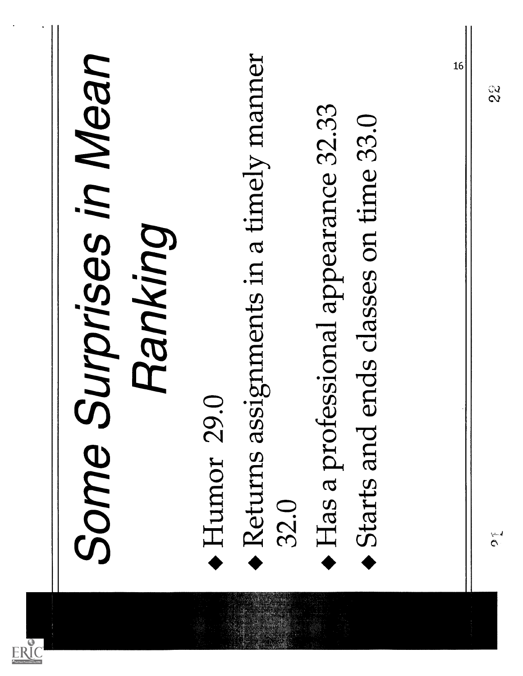| Surprises in Mean<br>Some | Ranking | Humor 29 | Returns assignments in a timely manner<br>32.0 | essional appearance 32.33<br>Has a prof | ends classes on time 33.0<br>Starts and | 16 | $\frac{2}{3}$<br>$\tilde{c}$ |
|---------------------------|---------|----------|------------------------------------------------|-----------------------------------------|-----------------------------------------|----|------------------------------|
|                           |         |          |                                                |                                         |                                         |    |                              |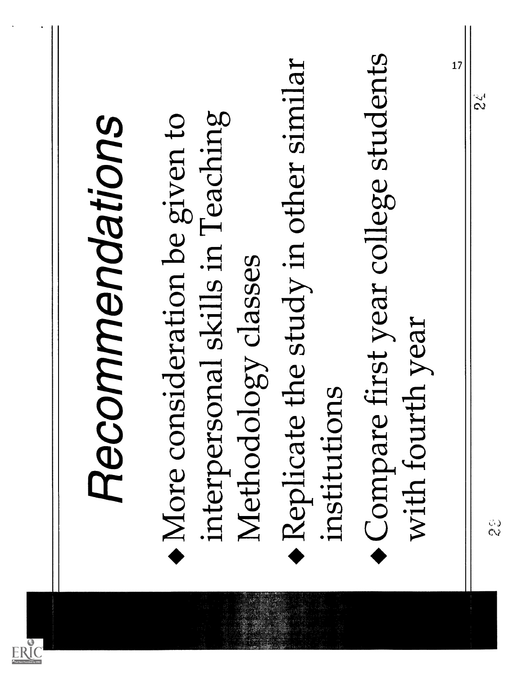| Recommendations                                                                                                                                                                                |
|------------------------------------------------------------------------------------------------------------------------------------------------------------------------------------------------|
| first year college students<br>the study in other similar<br>interpersonal skills in Teaching<br>More consideration be given to<br>Methodology classes<br>institutions<br>Compare<br>Replicate |
| 17<br>th year<br>with four                                                                                                                                                                     |
| $\tilde{\zeta}$<br>ः<br>१                                                                                                                                                                      |
|                                                                                                                                                                                                |

 $\frac{1}{\sqrt{2}}$ 

 $\boxed{\frac{\sum_{\mathbf{A}_{\text{fullTest}}}}{\sum_{\mathbf{A}_{\text{fullTest}}}}}}$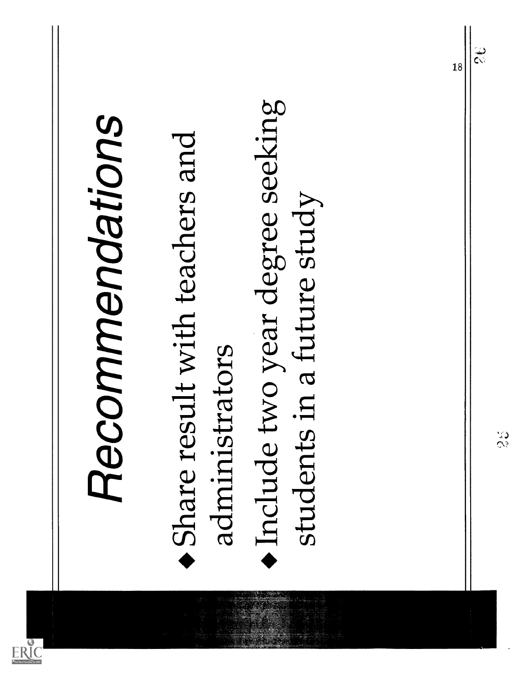|                 |                                                                                     |                            | 18 | $\hat{\tilde{\zeta}}$ |
|-----------------|-------------------------------------------------------------------------------------|----------------------------|----|-----------------------|
| Recommendations | Include two year degree seeking<br>Share result with teachers and<br>administrators | students in a future study |    |                       |

 $ERIC$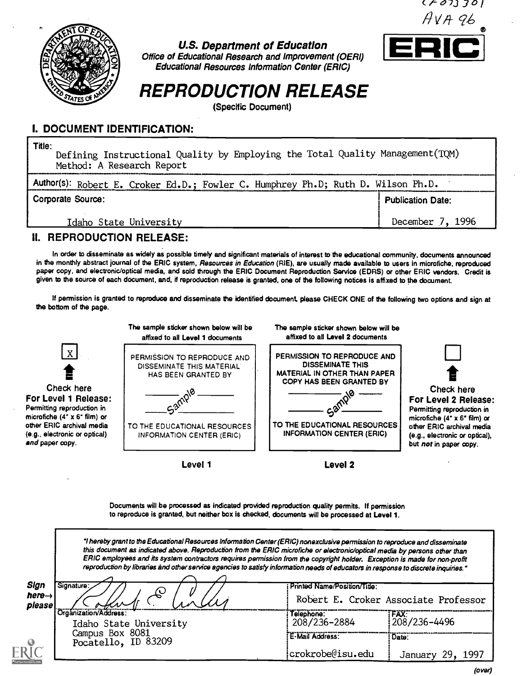

U.S. Department of Education Office of Educational Research and Improvement (OERI) Educational Resources Information Center (ERIC)



# REPRODUCTION RELEASE

(Specific Document)

### I. DOCUMENT IDENTIFICATION:

Title: Defining Instructional Quality by Employing the Total Quality Management(TQM) Method: A Research Report Author(s): Robert E. Croker Ed.D.; Fowler C. Humphrey Ph.D; Ruth D. Wilson Ph.D. Publication Date: December 7, 1996 Corporate Source: Idaho State University

### II. REPRODUCTION RELEASE:

In order to disseminate as widely as possible timely and significant materials of interest to the educational community, documents announced in the monthly abstract journal of the ERIC system, Resources in Education (RIE), are usually made available to users in microfiche, reproduced paper copy, and electronic/optical media, and sold through the ERIC Document Reproduction Service (EDRS) or other ERIC vendors. Credit is given to the source of each document, and, if reproduction release is granted, one of the following notices is affixed to the document.

If permission is granted to reproduce and disseminate the identified document, please CHECK ONE of the following two options and sign at the bottom of the page.



Documents will be processed as indicated provided reproduction quality permits. If permission to reproduce is granted, but neither box is checked, documents will be processed at Level 1.

I hereby grant to the Educational Resources Information Center (ERIC) nonexclusive permission to reproduce and disseminate this document as indicated above. Reproduction from the ERIC microfiche or electronic/optical media by persons other than ERIC employees and its system contractors requires permission from the copyright holder. Exception is made for non-profit reproduction by libraries and other service agencies to satisfy information needs of educators in response to discrete inquiries.'

| Sign<br>here $\rightarrow$<br>please | Signature:                                        | : Printed Name/Position/Title: | Robert E. Croker Associate Professor |
|--------------------------------------|---------------------------------------------------|--------------------------------|--------------------------------------|
|                                      | l'Organization/Address:<br>Idaho State University | Telephone:<br>208/236-2884     | ifax:"<br>208/236-4496               |
|                                      | Campus Box 8081<br>Pocatello, ID 83209            | E-Mail Address:                | ∶Date:                               |
|                                      |                                                   | crokrobe@isu.edu               | 1997<br>29.<br>January               |